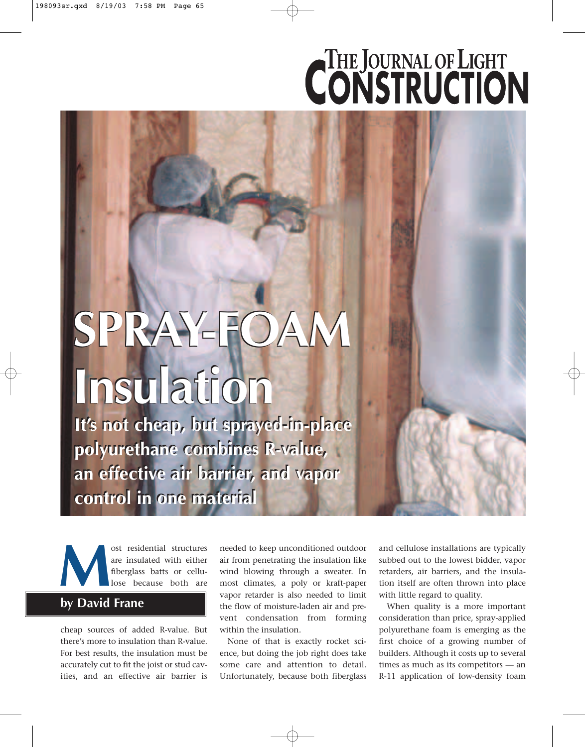# **CONSTRUCTION**

## **SPRAY-FOAM SPRAY-FOAM SPRAY-FOAM Insulation Insulation Insulation**

**It's not cheap, but sprayed-in-place It's not cheap, but sprayed-in-place polyurethane combines R-value, polyurethane combines R-value, an effective air barrier, and vapor an effective air barrier, and vapor control in one material control in one material**

ost residential structures<br>are insulated with either<br>fiberglass batts or cellu-<br>lose because both are are insulated with either fiberglass batts or cellulose because both are

### **by David Frane**

cheap sources of added R-value. But there's more to insulation than R-value. For best results, the insulation must be accurately cut to fit the joist or stud cavities, and an effective air barrier is

needed to keep unconditioned outdoor air from penetrating the insulation like wind blowing through a sweater. In most climates, a poly or kraft-paper vapor retarder is also needed to limit the flow of moisture-laden air and prevent condensation from forming within the insulation.

None of that is exactly rocket science, but doing the job right does take some care and attention to detail. Unfortunately, because both fiberglass

and cellulose installations are typically subbed out to the lowest bidder, vapor retarders, air barriers, and the insulation itself are often thrown into place with little regard to quality.

When quality is a more important consideration than price, spray-applied polyurethane foam is emerging as the first choice of a growing number of builders. Although it costs up to several times as much as its competitors — an R-11 application of low-density foam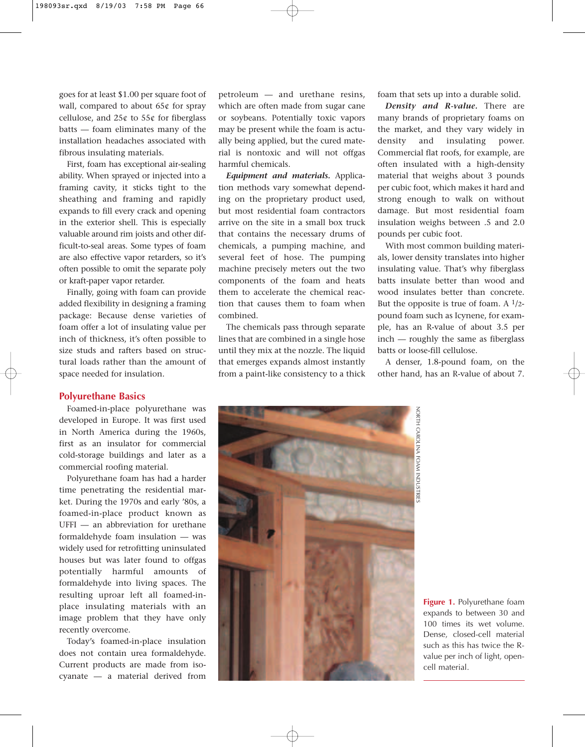goes for at least \$1.00 per square foot of wall, compared to about 65¢ for spray cellulose, and  $25¢$  to  $55¢$  for fiberglass batts — foam eliminates many of the installation headaches associated with fibrous insulating materials.

First, foam has exceptional air-sealing ability. When sprayed or injected into a framing cavity, it sticks tight to the sheathing and framing and rapidly expands to fill every crack and opening in the exterior shell. This is especially valuable around rim joists and other difficult-to-seal areas. Some types of foam are also effective vapor retarders, so it's often possible to omit the separate poly or kraft-paper vapor retarder.

Finally, going with foam can provide added flexibility in designing a framing package: Because dense varieties of foam offer a lot of insulating value per inch of thickness, it's often possible to size studs and rafters based on structural loads rather than the amount of space needed for insulation.

#### **Polyurethane Basics**

Foamed-in-place polyurethane was developed in Europe. It was first used in North America during the 1960s, first as an insulator for commercial cold-storage buildings and later as a commercial roofing material.

Polyurethane foam has had a harder time penetrating the residential market. During the 1970s and early '80s, a foamed-in-place product known as UFFI — an abbreviation for urethane formaldehyde foam insulation — was widely used for retrofitting uninsulated houses but was later found to offgas potentially harmful amounts of formaldehyde into living spaces. The resulting uproar left all foamed-inplace insulating materials with an image problem that they have only recently overcome.

Today's foamed-in-place insulation does not contain urea formaldehyde. Current products are made from isocyanate — a material derived from

petroleum — and urethane resins, which are often made from sugar cane or soybeans. Potentially toxic vapors may be present while the foam is actually being applied, but the cured material is nontoxic and will not offgas harmful chemicals.

*Equipment and materials.* Application methods vary somewhat depending on the proprietary product used, but most residential foam contractors arrive on the site in a small box truck that contains the necessary drums of chemicals, a pumping machine, and several feet of hose. The pumping machine precisely meters out the two components of the foam and heats them to accelerate the chemical reaction that causes them to foam when combined.

The chemicals pass through separate lines that are combined in a single hose until they mix at the nozzle. The liquid that emerges expands almost instantly from a paint-like consistency to a thick foam that sets up into a durable solid.

*Density and R-value.* There are many brands of proprietary foams on the market, and they vary widely in density and insulating power. Commercial flat roofs, for example, are often insulated with a high-density material that weighs about 3 pounds per cubic foot, which makes it hard and strong enough to walk on without damage. But most residential foam insulation weighs between .5 and 2.0 pounds per cubic foot.

With most common building materials, lower density translates into higher insulating value. That's why fiberglass batts insulate better than wood and wood insulates better than concrete. But the opposite is true of foam. A  $1/2$ pound foam such as Icynene, for example, has an R-value of about 3.5 per inch — roughly the same as fiberglass batts or loose-fill cellulose.

A denser, 1.8-pound foam, on the other hand, has an R-value of about 7.



**Figure 1.** Polyurethane foam expands to between 30 and 100 times its wet volume. Dense, closed-cell material such as this has twice the Rvalue per inch of light, opencell material.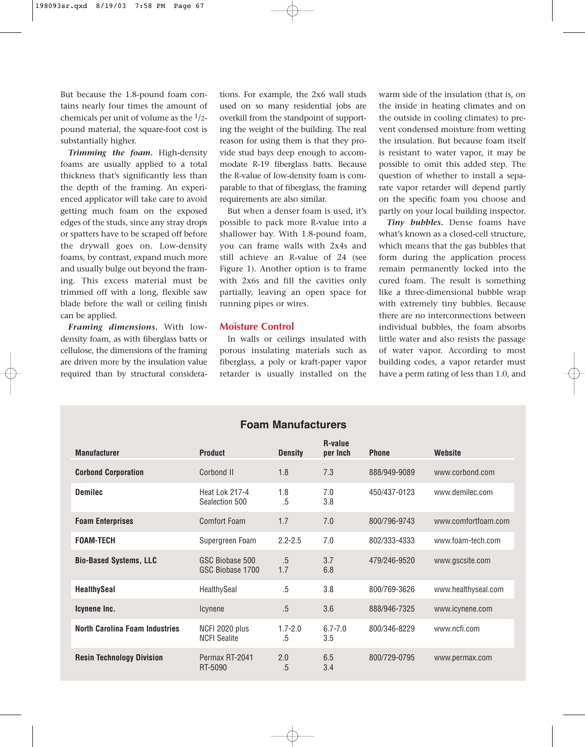But because the 1.8-pound foam contains nearly four times the amount of chemicals per unit of volume as the  $1/2$ pound material, the square-foot cost is substantially higher.

*Trimming the foam.* High-density foams are usually applied to a total thickness that's significantly less than the depth of the framing. An experienced applicator will take care to avoid getting much foam on the exposed edges of the studs, since any stray drops or spatters have to be scraped off before the drywall goes on. Low-density foams, by contrast, expand much more and usually bulge out beyond the framing. This excess material must be trimmed off with a long, flexible saw blade before the wall or ceiling finish can be applied.

*Framing dimensions.* With lowdensity foam, as with fiberglass batts or cellulose, the dimensions of the framing are driven more by the insulation value required than by structural considerations. For example, the 2x6 wall studs used on so many residential jobs are overkill from the standpoint of supporting the weight of the building. The real reason for using them is that they provide stud bays deep enough to accommodate R-19 fiberglass batts. Because the R-value of low-density foam is comparable to that of fiberglass, the framing requirements are also similar.

But when a denser foam is used, it's possible to pack more R-value into a shallower bay. With 1.8-pound foam, you can frame walls with 2x4s and still achieve an R-value of 24 (see Figure 1). Another option is to frame with 2x6s and fill the cavities only partially, leaving an open space for running pipes or wires.

#### **Moisture Control**

In walls or ceilings insulated with porous insulating materials such as fiberglass, a poly or kraft-paper vapor retarder is usually installed on the

**Foam Manufacturers**

warm side of the insulation (that is, on the inside in heating climates and on the outside in cooling climates) to prevent condensed moisture from wetting the insulation. But because foam itself is resistant to water vapor, it may be possible to omit this added step. The question of whether to install a separate vapor retarder will depend partly on the specific foam you choose and partly on your local building inspector.

*Tiny bubbles.* Dense foams have what's known as a closed-cell structure, which means that the gas bubbles that form during the application process remain permanently locked into the cured foam. The result is something like a three-dimensional bubble wrap with extremely tiny bubbles. Because there are no interconnections between individual bubbles, the foam absorbs little water and also resists the passage of water vapor. According to most building codes, a vapor retarder must have a perm rating of less than 1.0, and

| <b>Manufacturer</b>                   | <b>Product</b>                        | <b>Density</b>    | R-value<br>per Inch | <b>Phone</b> | Website             |
|---------------------------------------|---------------------------------------|-------------------|---------------------|--------------|---------------------|
| <b>Corbond Corporation</b>            | Corbond II                            | 1.8               | 7.3                 | 888/949-9089 | www.corbond.com     |
| <b>Demilec</b>                        | Heat Lok 217-4<br>Sealection 500      | 1.8<br>.5         | 7.0<br>3.8          | 450/437-0123 | www.demilec.com     |
| <b>Foam Enterprises</b>               | Comfort Foam                          | 1.7               | 7.0                 | 800/796-9743 | www.comfortfoam.com |
| <b>FOAM-TECH</b>                      | Supergreen Foam                       | $2.2 - 2.5$       | 7.0                 | 802/333-4333 | www.foam-tech.com   |
| <b>Bio-Based Systems, LLC</b>         | GSC Biobase 500<br>GSC Biobase 1700   | $.5\,$<br>1.7     | 3.7<br>6.8          | 479/246-9520 | www.gscsite.com     |
| <b>HealthySeal</b>                    | HealthySeal                           | .5                | 3.8                 | 800/769-3626 | www.healthyseal.com |
| Icynene Inc.                          | Icynene                               | .5                | 3.6                 | 888/946-7325 | www.icynene.com     |
| <b>North Carolina Foam Industries</b> | NCFI 2020 plus<br><b>NCFI Sealite</b> | $1.7 - 2.0$<br>.5 | $6.7 - 7.0$<br>3.5  | 800/346-8229 | www.ncfi.com        |
| <b>Resin Technology Division</b>      | Permax RT-2041<br>RT-5090             | 2.0<br>.5         | 6.5<br>3.4          | 800/729-0795 | www.permax.com      |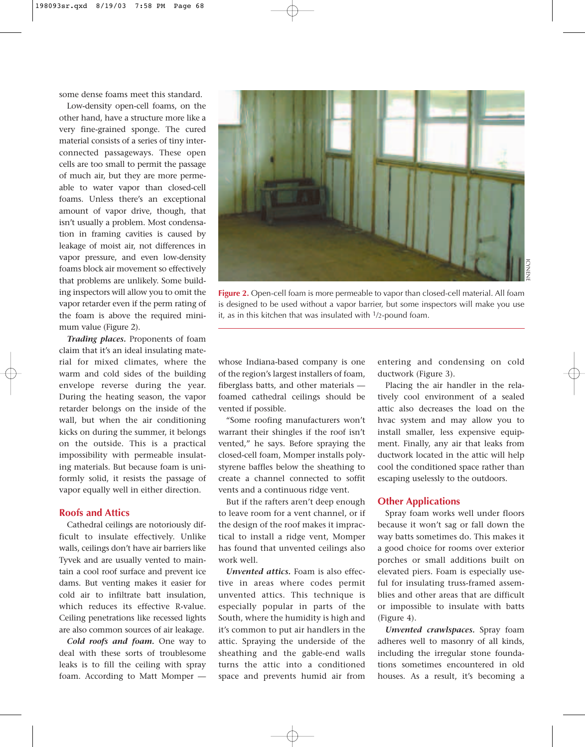some dense foams meet this standard.

Low-density open-cell foams, on the other hand, have a structure more like a very fine-grained sponge. The cured material consists of a series of tiny interconnected passageways. These open cells are too small to permit the passage of much air, but they are more permeable to water vapor than closed-cell foams. Unless there's an exceptional amount of vapor drive, though, that isn't usually a problem. Most condensation in framing cavities is caused by leakage of moist air, not differences in vapor pressure, and even low-density foams block air movement so effectively that problems are unlikely. Some building inspectors will allow you to omit the vapor retarder even if the perm rating of the foam is above the required minimum value (Figure 2).

*Trading places.* Proponents of foam claim that it's an ideal insulating material for mixed climates, where the warm and cold sides of the building envelope reverse during the year. During the heating season, the vapor retarder belongs on the inside of the wall, but when the air conditioning kicks on during the summer, it belongs on the outside. This is a practical impossibility with permeable insulating materials. But because foam is uniformly solid, it resists the passage of vapor equally well in either direction.

#### **Roofs and Attics**

Cathedral ceilings are notoriously difficult to insulate effectively. Unlike walls, ceilings don't have air barriers like Tyvek and are usually vented to maintain a cool roof surface and prevent ice dams. But venting makes it easier for cold air to infiltrate batt insulation, which reduces its effective R-value. Ceiling penetrations like recessed lights are also common sources of air leakage.

*Cold roofs and foam.* One way to deal with these sorts of troublesome leaks is to fill the ceiling with spray foam. According to Matt Momper —



whose Indiana-based company is one of the region's largest installers of foam, fiberglass batts, and other materials foamed cathedral ceilings should be

vented if possible. "Some roofing manufacturers won't warrant their shingles if the roof isn't vented," he says. Before spraying the closed-cell foam, Momper installs polystyrene baffles below the sheathing to create a channel connected to soffit vents and a continuous ridge vent.

But if the rafters aren't deep enough to leave room for a vent channel, or if the design of the roof makes it impractical to install a ridge vent, Momper has found that unvented ceilings also work well.

*Unvented attics.* Foam is also effective in areas where codes permit unvented attics. This technique is especially popular in parts of the South, where the humidity is high and it's common to put air handlers in the attic. Spraying the underside of the sheathing and the gable-end walls turns the attic into a conditioned space and prevents humid air from entering and condensing on cold ductwork (Figure 3).

Placing the air handler in the relatively cool environment of a sealed attic also decreases the load on the hvac system and may allow you to install smaller, less expensive equipment. Finally, any air that leaks from ductwork located in the attic will help cool the conditioned space rather than escaping uselessly to the outdoors.

#### **Other Applications**

Spray foam works well under floors because it won't sag or fall down the way batts sometimes do. This makes it a good choice for rooms over exterior porches or small additions built on elevated piers. Foam is especially useful for insulating truss-framed assemblies and other areas that are difficult or impossible to insulate with batts (Figure 4).

*Unvented crawlspaces.* Spray foam adheres well to masonry of all kinds, including the irregular stone foundations sometimes encountered in old houses. As a result, it's becoming a